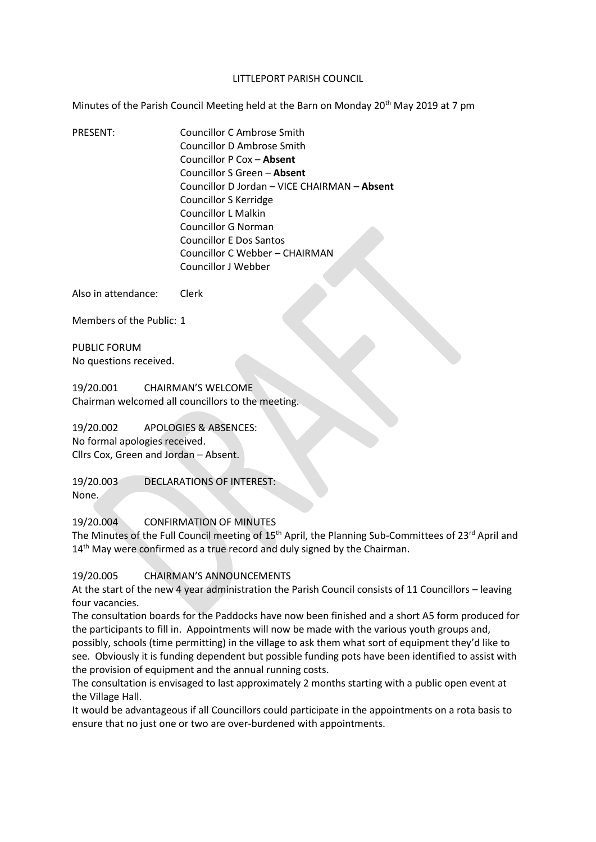#### LITTLEPORT PARISH COUNCIL

Minutes of the Parish Council Meeting held at the Barn on Monday 20<sup>th</sup> May 2019 at 7 pm

PRESENT: Councillor C Ambrose Smith Councillor D Ambrose Smith Councillor P Cox – **Absent** Councillor S Green – **Absent** Councillor D Jordan – VICE CHAIRMAN – **Absent** Councillor S Kerridge Councillor L Malkin Councillor G Norman Councillor E Dos Santos Councillor C Webber – CHAIRMAN Councillor J Webber

Also in attendance: Clerk

Members of the Public: 1

PUBLIC FORUM No questions received.

19/20.001 CHAIRMAN'S WELCOME Chairman welcomed all councillors to the meeting.

19/20.002 APOLOGIES & ABSENCES: No formal apologies received. Cllrs Cox, Green and Jordan – Absent.

19/20.003 DECLARATIONS OF INTEREST: None.

19/20.004 CONFIRMATION OF MINUTES

The Minutes of the Full Council meeting of 15<sup>th</sup> April, the Planning Sub-Committees of 23<sup>rd</sup> April and  $14<sup>th</sup>$  May were confirmed as a true record and duly signed by the Chairman.

## 19/20.005 CHAIRMAN'S ANNOUNCEMENTS

At the start of the new 4 year administration the Parish Council consists of 11 Councillors – leaving four vacancies.

The consultation boards for the Paddocks have now been finished and a short A5 form produced for the participants to fill in. Appointments will now be made with the various youth groups and, possibly, schools (time permitting) in the village to ask them what sort of equipment they'd like to see. Obviously it is funding dependent but possible funding pots have been identified to assist with the provision of equipment and the annual running costs.

The consultation is envisaged to last approximately 2 months starting with a public open event at the Village Hall.

It would be advantageous if all Councillors could participate in the appointments on a rota basis to ensure that no just one or two are over-burdened with appointments.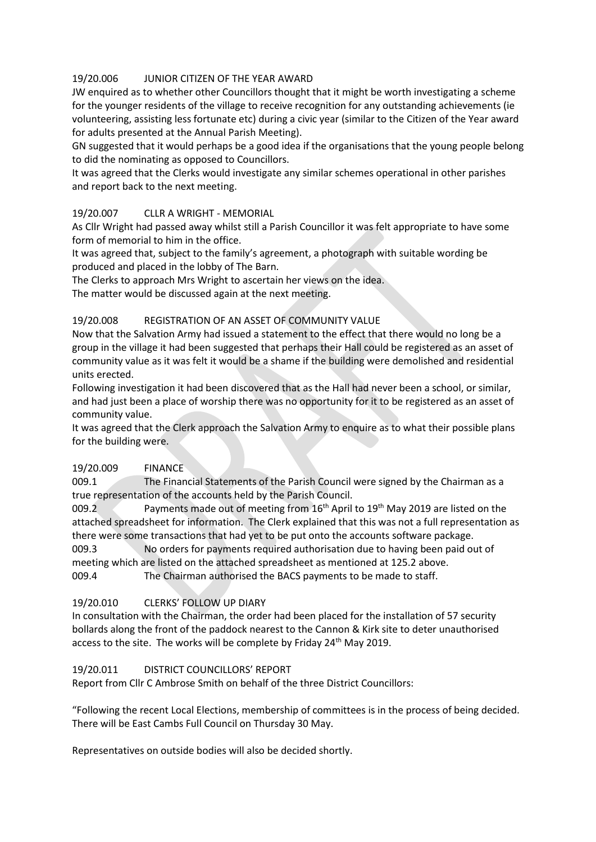# 19/20.006 JUNIOR CITIZEN OF THE YEAR AWARD

JW enquired as to whether other Councillors thought that it might be worth investigating a scheme for the younger residents of the village to receive recognition for any outstanding achievements (ie volunteering, assisting less fortunate etc) during a civic year (similar to the Citizen of the Year award for adults presented at the Annual Parish Meeting).

GN suggested that it would perhaps be a good idea if the organisations that the young people belong to did the nominating as opposed to Councillors.

It was agreed that the Clerks would investigate any similar schemes operational in other parishes and report back to the next meeting.

# 19/20.007 CLLR A WRIGHT - MEMORIAL

As Cllr Wright had passed away whilst still a Parish Councillor it was felt appropriate to have some form of memorial to him in the office.

It was agreed that, subject to the family's agreement, a photograph with suitable wording be produced and placed in the lobby of The Barn.

The Clerks to approach Mrs Wright to ascertain her views on the idea.

The matter would be discussed again at the next meeting.

## 19/20.008 REGISTRATION OF AN ASSET OF COMMUNITY VALUE

Now that the Salvation Army had issued a statement to the effect that there would no long be a group in the village it had been suggested that perhaps their Hall could be registered as an asset of community value as it was felt it would be a shame if the building were demolished and residential units erected.

Following investigation it had been discovered that as the Hall had never been a school, or similar, and had just been a place of worship there was no opportunity for it to be registered as an asset of community value.

It was agreed that the Clerk approach the Salvation Army to enquire as to what their possible plans for the building were.

## 19/20.009 FINANCE

009.1 The Financial Statements of the Parish Council were signed by the Chairman as a true representation of the accounts held by the Parish Council.

009.2 Payments made out of meeting from 16<sup>th</sup> April to 19<sup>th</sup> May 2019 are listed on the attached spreadsheet for information. The Clerk explained that this was not a full representation as there were some transactions that had yet to be put onto the accounts software package.

009.3 No orders for payments required authorisation due to having been paid out of meeting which are listed on the attached spreadsheet as mentioned at 125.2 above. 009.4 The Chairman authorised the BACS payments to be made to staff.

# 19/20.010 CLERKS' FOLLOW UP DIARY

In consultation with the Chairman, the order had been placed for the installation of 57 security bollards along the front of the paddock nearest to the Cannon & Kirk site to deter unauthorised access to the site. The works will be complete by Friday 24<sup>th</sup> May 2019.

## 19/20.011 DISTRICT COUNCILLORS' REPORT

Report from Cllr C Ambrose Smith on behalf of the three District Councillors:

"Following the recent Local Elections, membership of committees is in the process of being decided. There will be East Cambs Full Council on Thursday 30 May.

Representatives on outside bodies will also be decided shortly.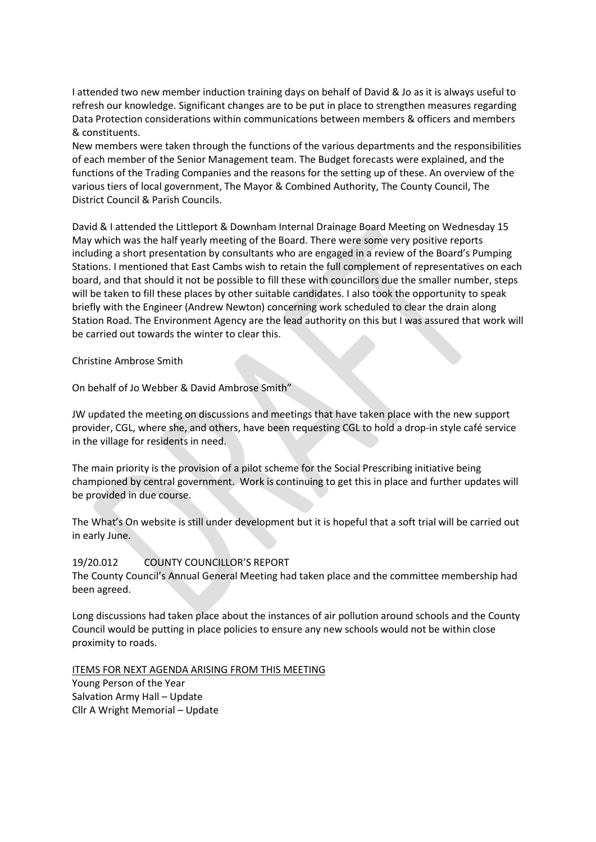I attended two new member induction training days on behalf of David & Jo as it is always useful to refresh our knowledge. Significant changes are to be put in place to strengthen measures regarding Data Protection considerations within communications between members & officers and members & constituents.

New members were taken through the functions of the various departments and the responsibilities of each member of the Senior Management team. The Budget forecasts were explained, and the functions of the Trading Companies and the reasons for the setting up of these. An overview of the various tiers of local government, The Mayor & Combined Authority, The County Council, The District Council & Parish Councils.

David & I attended the Littleport & Downham Internal Drainage Board Meeting on Wednesday 15 May which was the half yearly meeting of the Board. There were some very positive reports including a short presentation by consultants who are engaged in a review of the Board's Pumping Stations. I mentioned that East Cambs wish to retain the full complement of representatives on each board, and that should it not be possible to fill these with councillors due the smaller number, steps will be taken to fill these places by other suitable candidates. I also took the opportunity to speak briefly with the Engineer (Andrew Newton) concerning work scheduled to clear the drain along Station Road. The Environment Agency are the lead authority on this but I was assured that work will be carried out towards the winter to clear this.

Christine Ambrose Smith

On behalf of Jo Webber & David Ambrose Smith"

JW updated the meeting on discussions and meetings that have taken place with the new support provider, CGL, where she, and others, have been requesting CGL to hold a drop-in style café service in the village for residents in need.

The main priority is the provision of a pilot scheme for the Social Prescribing initiative being championed by central government. Work is continuing to get this in place and further updates will be provided in due course.

The What's On website is still under development but it is hopeful that a soft trial will be carried out in early June.

## 19/20.012 COUNTY COUNCILLOR'S REPORT

The County Council's Annual General Meeting had taken place and the committee membership had been agreed.

Long discussions had taken place about the instances of air pollution around schools and the County Council would be putting in place policies to ensure any new schools would not be within close proximity to roads.

ITEMS FOR NEXT AGENDA ARISING FROM THIS MEETING

Young Person of the Year Salvation Army Hall – Update Cllr A Wright Memorial – Update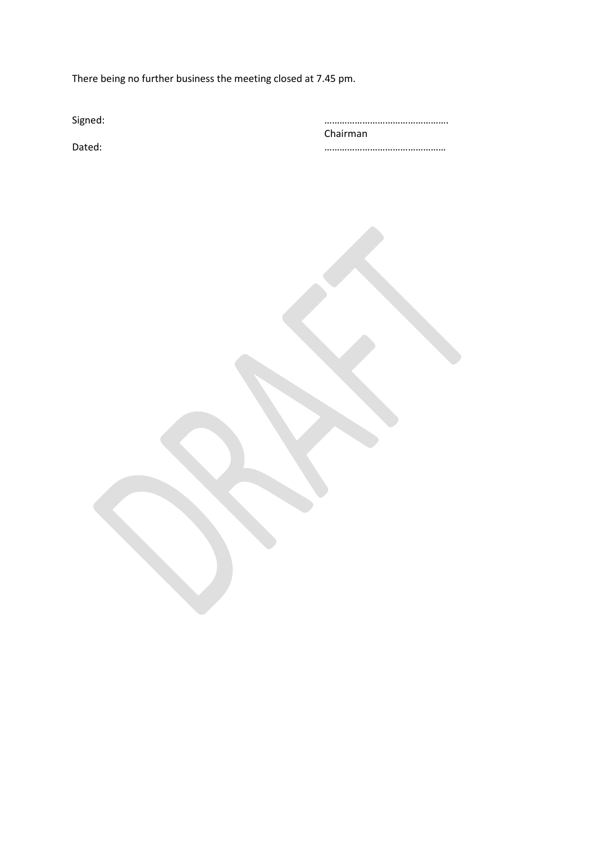There being no further business the meeting closed at 7.45 pm.

| Signed: |          |
|---------|----------|
|         | Chairman |
| Dated:  |          |